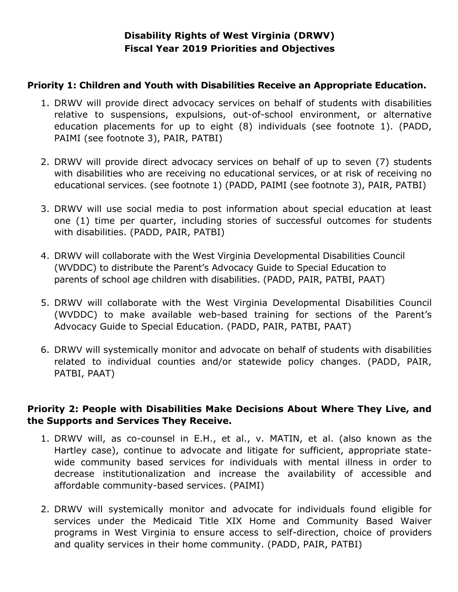# **Disability Rights of West Virginia (DRWV) Fiscal Year 2019 Priorities and Objectives**

### **Priority 1: Children and Youth with Disabilities Receive an Appropriate Education.**

- 1. DRWV will provide direct advocacy services on behalf of students with disabilities relative to suspensions, expulsions, out-of-school environment, or alternative education placements for up to eight (8) individuals (see footnote 1). (PADD, PAIMI (see footnote 3), PAIR, PATBI)
- 2. DRWV will provide direct advocacy services on behalf of up to seven (7) students with disabilities who are receiving no educational services, or at risk of receiving no educational services. (see footnote 1) (PADD, PAIMI (see footnote 3), PAIR, PATBI)
- 3. DRWV will use social media to post information about special education at least one (1) time per quarter, including stories of successful outcomes for students with disabilities. (PADD, PAIR, PATBI)
- 4. DRWV will collaborate with the West Virginia Developmental Disabilities Council (WVDDC) to distribute the Parent's Advocacy Guide to Special Education to parents of school age children with disabilities. (PADD, PAIR, PATBI, PAAT)
- 5. DRWV will collaborate with the West Virginia Developmental Disabilities Council (WVDDC) to make available web-based training for sections of the Parent's Advocacy Guide to Special Education. (PADD, PAIR, PATBI, PAAT)
- 6. DRWV will systemically monitor and advocate on behalf of students with disabilities related to individual counties and/or statewide policy changes. (PADD, PAIR, PATBI, PAAT)

### **Priority 2: People with Disabilities Make Decisions About Where They Live, and the Supports and Services They Receive.**

- 1. DRWV will, as co-counsel in E.H., et al., v. MATIN, et al. (also known as the Hartley case), continue to advocate and litigate for sufficient, appropriate statewide community based services for individuals with mental illness in order to decrease institutionalization and increase the availability of accessible and affordable community-based services. (PAIMI)
- 2. DRWV will systemically monitor and advocate for individuals found eligible for services under the Medicaid Title XIX Home and Community Based Waiver programs in West Virginia to ensure access to self-direction, choice of providers and quality services in their home community. (PADD, PAIR, PATBI)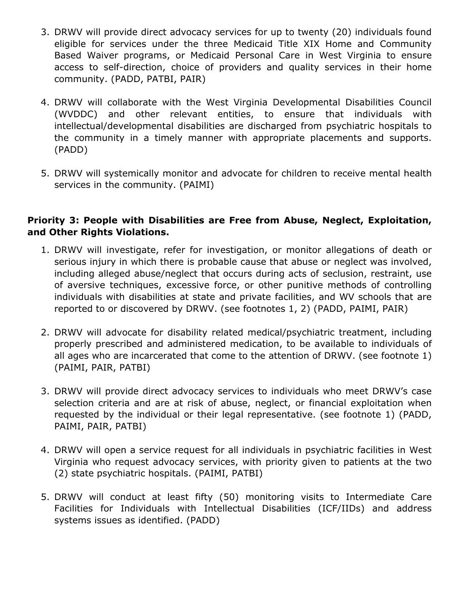- 3. DRWV will provide direct advocacy services for up to twenty (20) individuals found eligible for services under the three Medicaid Title XIX Home and Community Based Waiver programs, or Medicaid Personal Care in West Virginia to ensure access to self-direction, choice of providers and quality services in their home community. (PADD, PATBI, PAIR)
- 4. DRWV will collaborate with the West Virginia Developmental Disabilities Council (WVDDC) and other relevant entities, to ensure that individuals with intellectual/developmental disabilities are discharged from psychiatric hospitals to the community in a timely manner with appropriate placements and supports. (PADD)
- 5. DRWV will systemically monitor and advocate for children to receive mental health services in the community. (PAIMI)

### **Priority 3: People with Disabilities are Free from Abuse, Neglect, Exploitation, and Other Rights Violations.**

- 1. DRWV will investigate, refer for investigation, or monitor allegations of death or serious injury in which there is probable cause that abuse or neglect was involved, including alleged abuse/neglect that occurs during acts of seclusion, restraint, use of aversive techniques, excessive force, or other punitive methods of controlling individuals with disabilities at state and private facilities, and WV schools that are reported to or discovered by DRWV. (see footnotes 1, 2) (PADD, PAIMI, PAIR)
- 2. DRWV will advocate for disability related medical/psychiatric treatment, including properly prescribed and administered medication, to be available to individuals of all ages who are incarcerated that come to the attention of DRWV. (see footnote 1) (PAIMI, PAIR, PATBI)
- 3. DRWV will provide direct advocacy services to individuals who meet DRWV's case selection criteria and are at risk of abuse, neglect, or financial exploitation when requested by the individual or their legal representative. (see footnote 1) (PADD, PAIMI, PAIR, PATBI)
- 4. DRWV will open a service request for all individuals in psychiatric facilities in West Virginia who request advocacy services, with priority given to patients at the two (2) state psychiatric hospitals. (PAIMI, PATBI)
- 5. DRWV will conduct at least fifty (50) monitoring visits to Intermediate Care Facilities for Individuals with Intellectual Disabilities (ICF/IIDs) and address systems issues as identified. (PADD)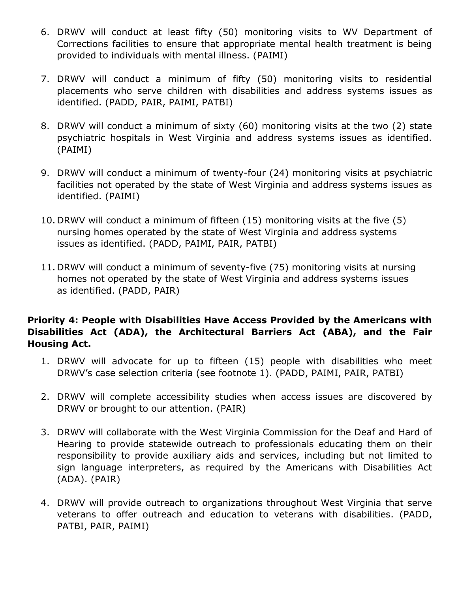- 6. DRWV will conduct at least fifty (50) monitoring visits to WV Department of Corrections facilities to ensure that appropriate mental health treatment is being provided to individuals with mental illness. (PAIMI)
- 7. DRWV will conduct a minimum of fifty (50) monitoring visits to residential placements who serve children with disabilities and address systems issues as identified. (PADD, PAIR, PAIMI, PATBI)
- 8. DRWV will conduct a minimum of sixty (60) monitoring visits at the two (2) state psychiatric hospitals in West Virginia and address systems issues as identified. (PAIMI)
- 9. DRWV will conduct a minimum of twenty-four (24) monitoring visits at psychiatric facilities not operated by the state of West Virginia and address systems issues as identified. (PAIMI)
- 10. DRWV will conduct a minimum of fifteen (15) monitoring visits at the five (5) nursing homes operated by the state of West Virginia and address systems issues as identified. (PADD, PAIMI, PAIR, PATBI)
- 11. DRWV will conduct a minimum of seventy-five (75) monitoring visits at nursing homes not operated by the state of West Virginia and address systems issues as identified. (PADD, PAIR)

# **Priority 4: People with Disabilities Have Access Provided by the Americans with Disabilities Act (ADA), the Architectural Barriers Act (ABA), and the Fair Housing Act.**

- 1. DRWV will advocate for up to fifteen (15) people with disabilities who meet DRWV's case selection criteria (see footnote 1). (PADD, PAIMI, PAIR, PATBI)
- 2. DRWV will complete accessibility studies when access issues are discovered by DRWV or brought to our attention. (PAIR)
- 3. DRWV will collaborate with the West Virginia Commission for the Deaf and Hard of Hearing to provide statewide outreach to professionals educating them on their responsibility to provide auxiliary aids and services, including but not limited to sign language interpreters, as required by the Americans with Disabilities Act (ADA). (PAIR)
- 4. DRWV will provide outreach to organizations throughout West Virginia that serve veterans to offer outreach and education to veterans with disabilities. (PADD, PATBI, PAIR, PAIMI)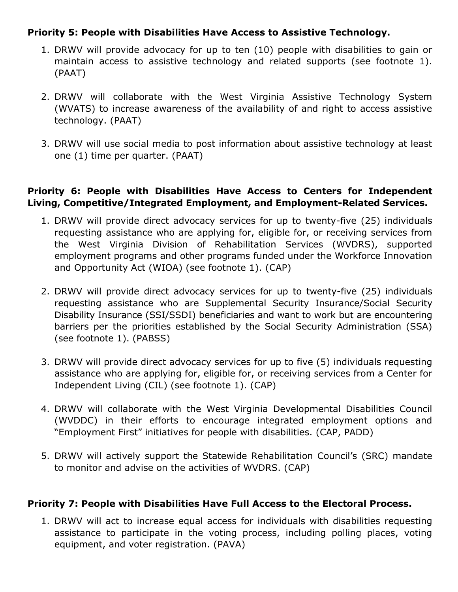### **Priority 5: People with Disabilities Have Access to Assistive Technology.**

- 1. DRWV will provide advocacy for up to ten (10) people with disabilities to gain or maintain access to assistive technology and related supports (see footnote 1). (PAAT)
- 2. DRWV will collaborate with the West Virginia Assistive Technology System (WVATS) to increase awareness of the availability of and right to access assistive technology. (PAAT)
- 3. DRWV will use social media to post information about assistive technology at least one (1) time per quarter. (PAAT)

### **Priority 6: People with Disabilities Have Access to Centers for Independent Living, Competitive/Integrated Employment, and Employment-Related Services.**

- 1. DRWV will provide direct advocacy services for up to twenty-five (25) individuals requesting assistance who are applying for, eligible for, or receiving services from the West Virginia Division of Rehabilitation Services (WVDRS), supported employment programs and other programs funded under the Workforce Innovation and Opportunity Act (WIOA) (see footnote 1). (CAP)
- 2. DRWV will provide direct advocacy services for up to twenty-five (25) individuals requesting assistance who are Supplemental Security Insurance/Social Security Disability Insurance (SSI/SSDI) beneficiaries and want to work but are encountering barriers per the priorities established by the Social Security Administration (SSA) (see footnote 1). (PABSS)
- 3. DRWV will provide direct advocacy services for up to five (5) individuals requesting assistance who are applying for, eligible for, or receiving services from a Center for Independent Living (CIL) (see footnote 1). (CAP)
- 4. DRWV will collaborate with the West Virginia Developmental Disabilities Council (WVDDC) in their efforts to encourage integrated employment options and "Employment First" initiatives for people with disabilities. (CAP, PADD)
- 5. DRWV will actively support the Statewide Rehabilitation Council's (SRC) mandate to monitor and advise on the activities of WVDRS. (CAP)

#### **Priority 7: People with Disabilities Have Full Access to the Electoral Process.**

1. DRWV will act to increase equal access for individuals with disabilities requesting assistance to participate in the voting process, including polling places, voting equipment, and voter registration. (PAVA)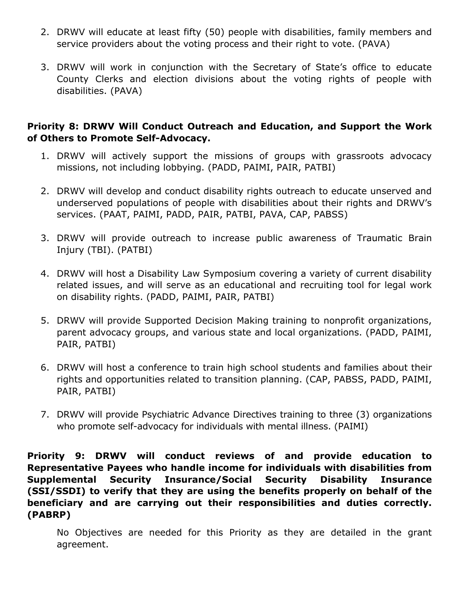- 2. DRWV will educate at least fifty (50) people with disabilities, family members and service providers about the voting process and their right to vote. (PAVA)
- 3. DRWV will work in conjunction with the Secretary of State's office to educate County Clerks and election divisions about the voting rights of people with disabilities. (PAVA)

#### **Priority 8: DRWV Will Conduct Outreach and Education, and Support the Work of Others to Promote Self-Advocacy.**

- 1. DRWV will actively support the missions of groups with grassroots advocacy missions, not including lobbying. (PADD, PAIMI, PAIR, PATBI)
- 2. DRWV will develop and conduct disability rights outreach to educate unserved and underserved populations of people with disabilities about their rights and DRWV's services. (PAAT, PAIMI, PADD, PAIR, PATBI, PAVA, CAP, PABSS)
- 3. DRWV will provide outreach to increase public awareness of Traumatic Brain Injury (TBI). (PATBI)
- 4. DRWV will host a Disability Law Symposium covering a variety of current disability related issues, and will serve as an educational and recruiting tool for legal work on disability rights. (PADD, PAIMI, PAIR, PATBI)
- 5. DRWV will provide Supported Decision Making training to nonprofit organizations, parent advocacy groups, and various state and local organizations. (PADD, PAIMI, PAIR, PATBI)
- 6. DRWV will host a conference to train high school students and families about their rights and opportunities related to transition planning. (CAP, PABSS, PADD, PAIMI, PAIR, PATBI)
- 7. DRWV will provide Psychiatric Advance Directives training to three (3) organizations who promote self-advocacy for individuals with mental illness. (PAIMI)

**Priority 9: DRWV will conduct reviews of and provide education to Representative Payees who handle income for individuals with disabilities from Supplemental Security Insurance/Social Security Disability Insurance (SSI/SSDI) to verify that they are using the benefits properly on behalf of the beneficiary and are carrying out their responsibilities and duties correctly. (PABRP)**

No Objectives are needed for this Priority as they are detailed in the grant agreement.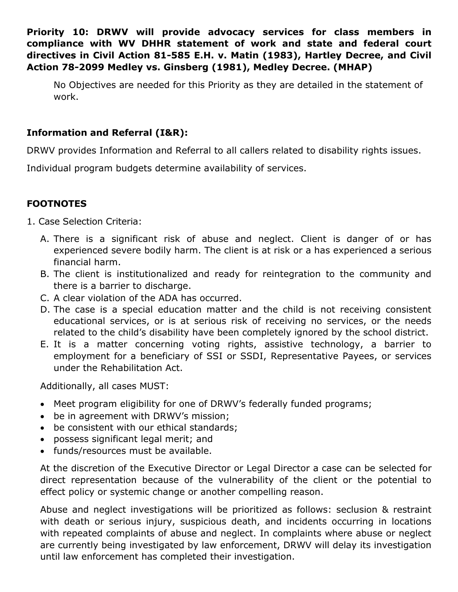**Priority 10: DRWV will provide advocacy services for class members in compliance with WV DHHR statement of work and state and federal court directives in Civil Action 81-585 E.H. v. Matin (1983), Hartley Decree, and Civil Action 78-2099 Medley vs. Ginsberg (1981), Medley Decree. (MHAP)**

No Objectives are needed for this Priority as they are detailed in the statement of work.

# **Information and Referral (I&R):**

DRWV provides Information and Referral to all callers related to disability rights issues.

Individual program budgets determine availability of services.

# **FOOTNOTES**

- 1. Case Selection Criteria:
	- A. There is a significant risk of abuse and neglect. Client is danger of or has experienced severe bodily harm. The client is at risk or a has experienced a serious financial harm.
	- B. The client is institutionalized and ready for reintegration to the community and there is a barrier to discharge.
	- C. A clear violation of the ADA has occurred.
	- D. The case is a special education matter and the child is not receiving consistent educational services, or is at serious risk of receiving no services, or the needs related to the child's disability have been completely ignored by the school district.
	- E. It is a matter concerning voting rights, assistive technology, a barrier to employment for a beneficiary of SSI or SSDI, Representative Payees, or services under the Rehabilitation Act.

Additionally, all cases MUST:

- Meet program eligibility for one of DRWV's federally funded programs;
- be in agreement with DRWV's mission;
- be consistent with our ethical standards;
- possess significant legal merit; and
- funds/resources must be available.

At the discretion of the Executive Director or Legal Director a case can be selected for direct representation because of the vulnerability of the client or the potential to effect policy or systemic change or another compelling reason.

Abuse and neglect investigations will be prioritized as follows: seclusion & restraint with death or serious injury, suspicious death, and incidents occurring in locations with repeated complaints of abuse and neglect. In complaints where abuse or neglect are currently being investigated by law enforcement, DRWV will delay its investigation until law enforcement has completed their investigation.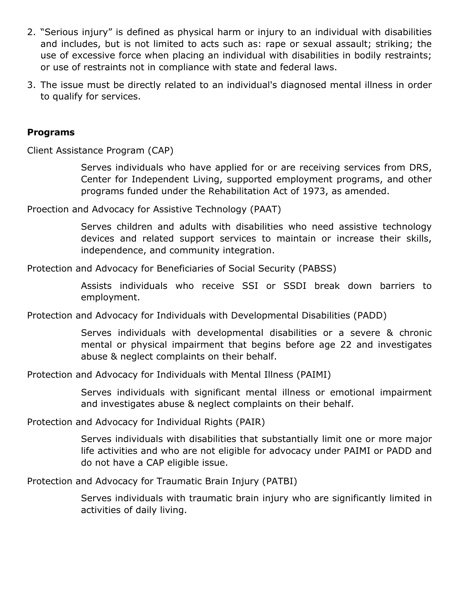- 2. "Serious injury" is defined as physical harm or injury to an individual with disabilities and includes, but is not limited to acts such as: rape or sexual assault; striking; the use of excessive force when placing an individual with disabilities in bodily restraints; or use of restraints not in compliance with state and federal laws.
- 3. The issue must be directly related to an individual's diagnosed mental illness in order to qualify for services.

#### **Programs**

Client Assistance Program (CAP)

Serves individuals who have applied for or are receiving services from DRS, Center for Independent Living, supported employment programs, and other programs funded under the Rehabilitation Act of 1973, as amended.

Proection and Advocacy for Assistive Technology (PAAT)

Serves children and adults with disabilities who need assistive technology devices and related support services to maintain or increase their skills, independence, and community integration.

Protection and Advocacy for Beneficiaries of Social Security (PABSS)

Assists individuals who receive SSI or SSDI break down barriers to employment.

Protection and Advocacy for Individuals with Developmental Disabilities (PADD)

Serves individuals with developmental disabilities or a severe & chronic mental or physical impairment that begins before age 22 and investigates abuse & neglect complaints on their behalf.

Protection and Advocacy for Individuals with Mental Illness (PAIMI)

Serves individuals with significant mental illness or emotional impairment and investigates abuse & neglect complaints on their behalf.

Protection and Advocacy for Individual Rights (PAIR)

Serves individuals with disabilities that substantially limit one or more major life activities and who are not eligible for advocacy under PAIMI or PADD and do not have a CAP eligible issue.

Protection and Advocacy for Traumatic Brain Injury (PATBI)

Serves individuals with traumatic brain injury who are significantly limited in activities of daily living.